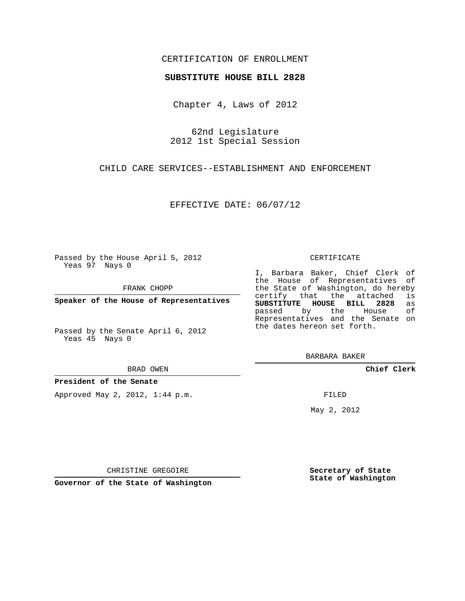## CERTIFICATION OF ENROLLMENT

#### **SUBSTITUTE HOUSE BILL 2828**

Chapter 4, Laws of 2012

62nd Legislature 2012 1st Special Session

CHILD CARE SERVICES--ESTABLISHMENT AND ENFORCEMENT

EFFECTIVE DATE: 06/07/12

Passed by the House April 5, 2012 Yeas 97 Nays 0

FRANK CHOPP

**Speaker of the House of Representatives**

Passed by the Senate April 6, 2012 Yeas 45 Nays 0

#### BRAD OWEN

### **President of the Senate**

Approved May 2, 2012, 1:44 p.m.

### CERTIFICATE

I, Barbara Baker, Chief Clerk of the House of Representatives of the State of Washington, do hereby<br>certify that the attached is certify that the attached **SUBSTITUTE HOUSE BILL 2828** as passed by the House Representatives and the Senate on the dates hereon set forth.

BARBARA BAKER

**Chief Clerk**

FILED

May 2, 2012

**Secretary of State State of Washington**

CHRISTINE GREGOIRE

**Governor of the State of Washington**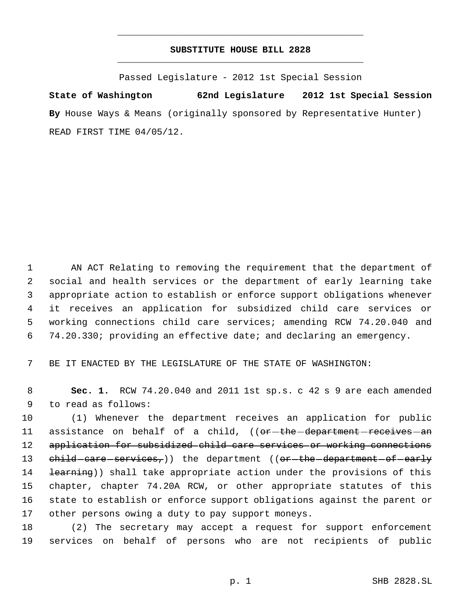# **SUBSTITUTE HOUSE BILL 2828** \_\_\_\_\_\_\_\_\_\_\_\_\_\_\_\_\_\_\_\_\_\_\_\_\_\_\_\_\_\_\_\_\_\_\_\_\_\_\_\_\_\_\_\_\_

\_\_\_\_\_\_\_\_\_\_\_\_\_\_\_\_\_\_\_\_\_\_\_\_\_\_\_\_\_\_\_\_\_\_\_\_\_\_\_\_\_\_\_\_\_

Passed Legislature - 2012 1st Special Session

**State of Washington 62nd Legislature 2012 1st Special Session** By House Ways & Means (originally sponsored by Representative Hunter) READ FIRST TIME 04/05/12.

 AN ACT Relating to removing the requirement that the department of social and health services or the department of early learning take appropriate action to establish or enforce support obligations whenever it receives an application for subsidized child care services or working connections child care services; amending RCW 74.20.040 and 74.20.330; providing an effective date; and declaring an emergency.

7 BE IT ENACTED BY THE LEGISLATURE OF THE STATE OF WASHINGTON:

 8 **Sec. 1.** RCW 74.20.040 and 2011 1st sp.s. c 42 s 9 are each amended 9 to read as follows:

 (1) Whenever the department receives an application for public 11 assistance on behalf of a child, ((or-the-department-receives-an 12 application for subsidized child care services or working connections  $ehild-eare-services<sub>r</sub>)$ ) the department ((or-the-department-of-early 14 <del>learning</del>)) shall take appropriate action under the provisions of this chapter, chapter 74.20A RCW, or other appropriate statutes of this state to establish or enforce support obligations against the parent or other persons owing a duty to pay support moneys.

18 (2) The secretary may accept a request for support enforcement 19 services on behalf of persons who are not recipients of public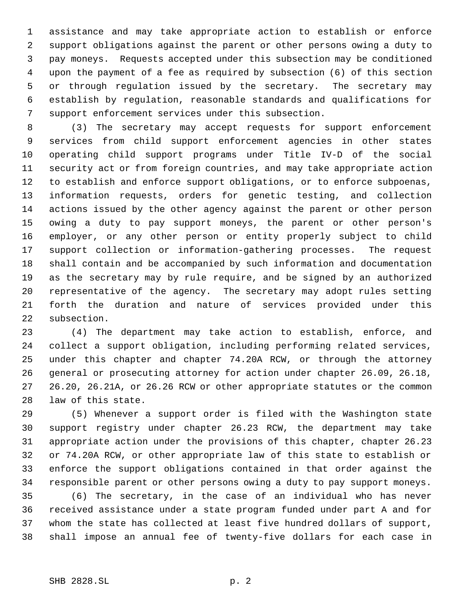assistance and may take appropriate action to establish or enforce support obligations against the parent or other persons owing a duty to pay moneys. Requests accepted under this subsection may be conditioned upon the payment of a fee as required by subsection (6) of this section or through regulation issued by the secretary. The secretary may establish by regulation, reasonable standards and qualifications for support enforcement services under this subsection.

 (3) The secretary may accept requests for support enforcement services from child support enforcement agencies in other states operating child support programs under Title IV-D of the social security act or from foreign countries, and may take appropriate action to establish and enforce support obligations, or to enforce subpoenas, information requests, orders for genetic testing, and collection actions issued by the other agency against the parent or other person owing a duty to pay support moneys, the parent or other person's employer, or any other person or entity properly subject to child support collection or information-gathering processes. The request shall contain and be accompanied by such information and documentation as the secretary may by rule require, and be signed by an authorized representative of the agency. The secretary may adopt rules setting forth the duration and nature of services provided under this subsection.

 (4) The department may take action to establish, enforce, and collect a support obligation, including performing related services, under this chapter and chapter 74.20A RCW, or through the attorney general or prosecuting attorney for action under chapter 26.09, 26.18, 26.20, 26.21A, or 26.26 RCW or other appropriate statutes or the common law of this state.

 (5) Whenever a support order is filed with the Washington state support registry under chapter 26.23 RCW, the department may take appropriate action under the provisions of this chapter, chapter 26.23 or 74.20A RCW, or other appropriate law of this state to establish or enforce the support obligations contained in that order against the responsible parent or other persons owing a duty to pay support moneys.

 (6) The secretary, in the case of an individual who has never received assistance under a state program funded under part A and for whom the state has collected at least five hundred dollars of support, shall impose an annual fee of twenty-five dollars for each case in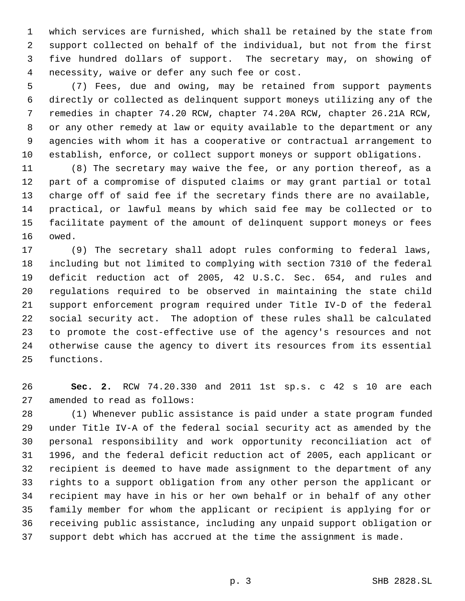which services are furnished, which shall be retained by the state from support collected on behalf of the individual, but not from the first five hundred dollars of support. The secretary may, on showing of necessity, waive or defer any such fee or cost.

 (7) Fees, due and owing, may be retained from support payments directly or collected as delinquent support moneys utilizing any of the remedies in chapter 74.20 RCW, chapter 74.20A RCW, chapter 26.21A RCW, or any other remedy at law or equity available to the department or any agencies with whom it has a cooperative or contractual arrangement to establish, enforce, or collect support moneys or support obligations.

 (8) The secretary may waive the fee, or any portion thereof, as a part of a compromise of disputed claims or may grant partial or total charge off of said fee if the secretary finds there are no available, practical, or lawful means by which said fee may be collected or to facilitate payment of the amount of delinquent support moneys or fees owed.

 (9) The secretary shall adopt rules conforming to federal laws, including but not limited to complying with section 7310 of the federal deficit reduction act of 2005, 42 U.S.C. Sec. 654, and rules and regulations required to be observed in maintaining the state child support enforcement program required under Title IV-D of the federal social security act. The adoption of these rules shall be calculated to promote the cost-effective use of the agency's resources and not otherwise cause the agency to divert its resources from its essential functions.

 **Sec. 2.** RCW 74.20.330 and 2011 1st sp.s. c 42 s 10 are each amended to read as follows:

 (1) Whenever public assistance is paid under a state program funded under Title IV-A of the federal social security act as amended by the personal responsibility and work opportunity reconciliation act of 1996, and the federal deficit reduction act of 2005, each applicant or recipient is deemed to have made assignment to the department of any rights to a support obligation from any other person the applicant or recipient may have in his or her own behalf or in behalf of any other family member for whom the applicant or recipient is applying for or receiving public assistance, including any unpaid support obligation or support debt which has accrued at the time the assignment is made.